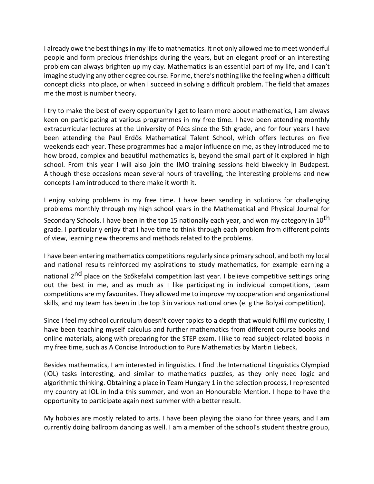I already owe the best things in my life to mathematics. It not only allowed me to meet wonderful people and form precious friendships during the years, but an elegant proof or an interesting problem can always brighten up my day. Mathematics is an essential part of my life, and I can't imagine studying any other degree course. For me, there's nothing like the feeling when a difficult concept clicks into place, or when I succeed in solving a difficult problem. The field that amazes me the most is number theory.

I try to make the best of every opportunity I get to learn more about mathematics, I am always keen on participating at various programmes in my free time. I have been attending monthly extracurricular lectures at the University of Pécs since the 5th grade, and for four years I have been attending the Paul Erdős Mathematical Talent School, which offers lectures on five weekends each year. These programmes had a major influence on me, as they introduced me to how broad, complex and beautiful mathematics is, beyond the small part of it explored in high school. From this year I will also join the IMO training sessions held biweekly in Budapest. Although these occasions mean several hours of travelling, the interesting problems and new concepts I am introduced to there make it worth it.

I enjoy solving problems in my free time. I have been sending in solutions for challenging problems monthly through my high school years in the Mathematical and Physical Journal for Secondary Schools. I have been in the top 15 nationally each year, and won my category in 10<sup>th</sup> grade. I particularly enjoy that I have time to think through each problem from different points of view, learning new theorems and methods related to the problems.

I have been entering mathematics competitions regularly since primary school, and both my local and national results reinforced my aspirations to study mathematics, for example earning a national 2<sup>nd</sup> place on the Szőkefalvi competition last year. I believe competitive settings bring out the best in me, and as much as I like participating in individual competitions, team competitions are my favourites. They allowed me to improve my cooperation and organizational skills, and my team has been in the top 3 in various national ones (e. g the Bolyai competition).

Since I feel my school curriculum doesn't cover topics to a depth that would fulfil my curiosity, I have been teaching myself calculus and further mathematics from different course books and online materials, along with preparing for the STEP exam. I like to read subject-related books in my free time, such as A Concise Introduction to Pure Mathematics by Martin Liebeck.

Besides mathematics, I am interested in linguistics. I find the International Linguistics Olympiad (IOL) tasks interesting, and similar to mathematics puzzles, as they only need logic and algorithmic thinking. Obtaining a place in Team Hungary 1 in the selection process, I represented my country at IOL in India this summer, and won an Honourable Mention. I hope to have the opportunity to participate again next summer with a better result.

My hobbies are mostly related to arts. I have been playing the piano for three years, and I am currently doing ballroom dancing as well. I am a member of the school's student theatre group,